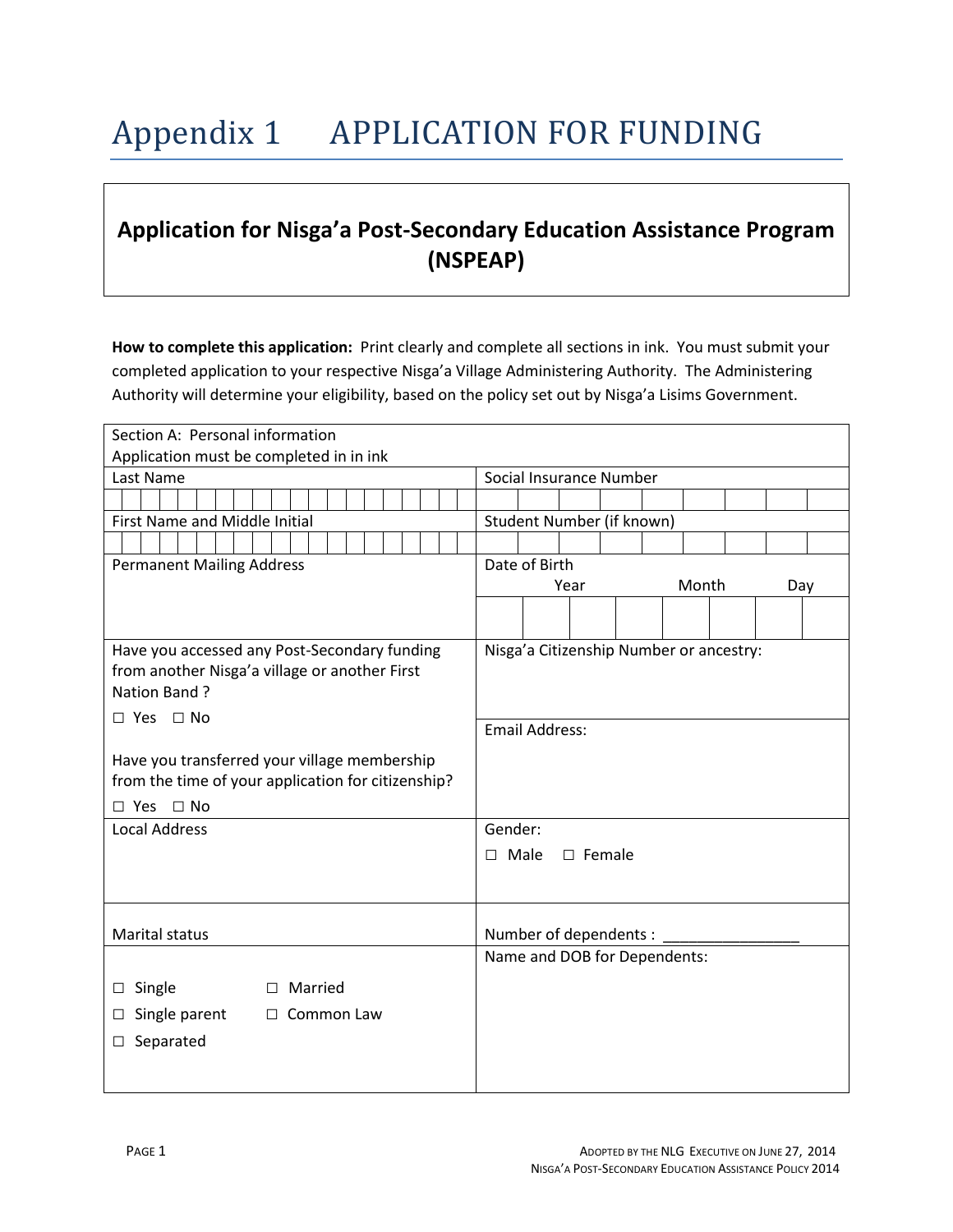## Appendix 1 APPLICATION FOR FUNDING

## **Application for Nisga'a Post-Secondary Education Assistance Program (NSPEAP)**

**How to complete this application:** Print clearly and complete all sections in ink. You must submit your completed application to your respective Nisga'a Village Administering Authority. The Administering Authority will determine your eligibility, based on the policy set out by Nisga'a Lisims Government.

| Section A: Personal information                    |                                         |  |  |  |
|----------------------------------------------------|-----------------------------------------|--|--|--|
| Application must be completed in in ink            |                                         |  |  |  |
| Last Name                                          | Social Insurance Number                 |  |  |  |
|                                                    |                                         |  |  |  |
| <b>First Name and Middle Initial</b>               | Student Number (if known)               |  |  |  |
|                                                    |                                         |  |  |  |
| <b>Permanent Mailing Address</b>                   | Date of Birth                           |  |  |  |
|                                                    | Month<br>Year<br>Day                    |  |  |  |
|                                                    |                                         |  |  |  |
|                                                    |                                         |  |  |  |
| Have you accessed any Post-Secondary funding       | Nisga'a Citizenship Number or ancestry: |  |  |  |
| from another Nisga'a village or another First      |                                         |  |  |  |
| Nation Band?                                       |                                         |  |  |  |
| □ Yes □ No                                         | <b>Email Address:</b>                   |  |  |  |
|                                                    |                                         |  |  |  |
| Have you transferred your village membership       |                                         |  |  |  |
| from the time of your application for citizenship? |                                         |  |  |  |
| $\Box$ Yes $\Box$ No                               |                                         |  |  |  |
| <b>Local Address</b>                               | Gender:                                 |  |  |  |
|                                                    | Male<br>$\square$ Female<br>$\Box$      |  |  |  |
|                                                    |                                         |  |  |  |
|                                                    |                                         |  |  |  |
| Marital status                                     | Number of dependents :                  |  |  |  |
|                                                    | Name and DOB for Dependents:            |  |  |  |
| Married<br>Single<br>$\Box$<br>□                   |                                         |  |  |  |
| Single parent<br>Common Law<br>$\Box$<br>□         |                                         |  |  |  |
| Separated<br>□                                     |                                         |  |  |  |
|                                                    |                                         |  |  |  |
|                                                    |                                         |  |  |  |